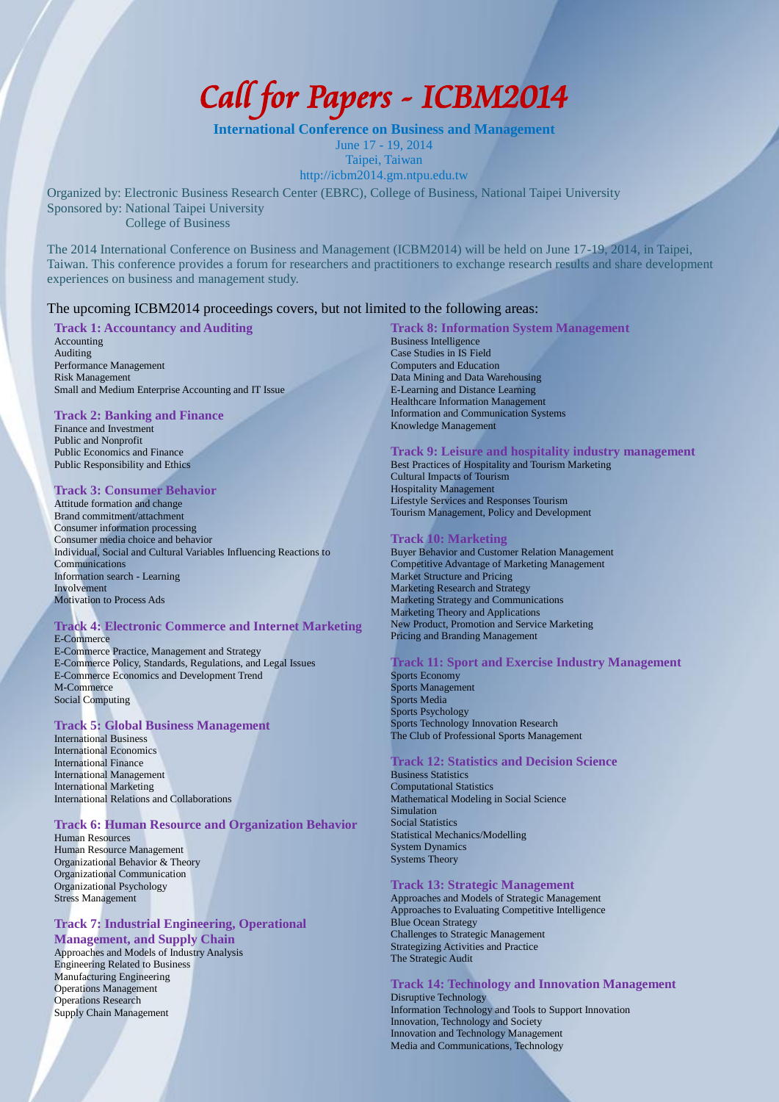# *Call for Papers - ICBM2014*

**International Conference on Business and Management** June 17 - 19, 2014 Taipei, Taiwan http://icbm2014.gm.ntpu.edu.tw

Organized by: Electronic Business Research Center (EBRC), College of Business, National Taipei University Sponsored by: National Taipei University College of Business

The 2014 International Conference on Business and Management (ICBM2014) will be held on June 17-19, 2014, in Taipei, Taiwan. This conference provides a forum for researchers and practitioners to exchange research results and share development experiences on business and management study.

## The upcoming ICBM2014 proceedings covers, but not limited to the following areas:

## **Track 1: Accountancy and Auditing**

Accounting Auditing Performance Management Risk Management Small and Medium Enterprise Accounting and IT Issue

#### **Track 2: Banking and Finance**

Finance and Investment Public and Nonprofit Public Economics and Finance Public Responsibility and Ethics

## **Track 3: Consumer Behavior**

Attitude formation and change Brand commitment/attachment Consumer information processing Consumer media choice and behavior Individual, Social and Cultural Variables Influencing Reactions to Communications Information search - Learning Involvement Motivation to Process Ads

#### **Track 4: Electronic Commerce and Internet Marketing** E-Commerce

E-Commerce Practice, Management and Strategy E-Commerce Policy, Standards, Regulations, and Legal Issues E-Commerce Economics and Development Trend M-Commerce Social Computing

## **Track 5: Global Business Management**

International Business International Economics International Finance International Management International Marketing International Relations and Collaborations

## **Track 6: Human Resource and Organization Behavior**

Human Resources Human Resource Management Organizational Behavior & Theory Organizational Communication Organizational Psychology Stress Management

## **Track 7: Industrial Engineering, Operational**

**Management, and Supply Chain** Approaches and Models of Industry Analysis Engineering Related to Business Manufacturing Engineering Operations Management Operations Research Supply Chain Management

## **Track 8: Information System Management**

Business Intelligence Case Studies in IS Field Computers and Education Data Mining and Data Warehousing E-Learning and Distance Learning Healthcare Information Management Information and Communication Systems Knowledge Management

## **Track 9: Leisure and hospitality industry management**

Best Practices of Hospitality and Tourism Marketing Cultural Impacts of Tourism Hospitality Management Lifestyle Services and Responses Tourism Tourism Management, Policy and Development

#### **Track 10: Marketing**

Buyer Behavior and Customer Relation Management Competitive Advantage of Marketing Management Market Structure and Pricing Marketing Research and Strategy Marketing Strategy and Communications Marketing Theory and Applications New Product, Promotion and Service Marketing Pricing and Branding Management

## **Track 11: Sport and Exercise Industry Management**

Sports Economy Sports Management Sports Media Sports Psychology Sports Technology Innovation Research The Club of Professional Sports Management

## **Track 12: Statistics and Decision Science**

Business Statistics Computational Statistics Mathematical Modeling in Social Science Simulation Social Statistics Statistical Mechanics/Modelling System Dynamics Systems Theory

## **Track 13: Strategic Management**

Approaches and Models of Strategic Management Approaches to Evaluating Competitive Intelligence Blue Ocean Strategy Challenges to Strategic Management Strategizing Activities and Practice The Strategic Audit

**Track 14: Technology and Innovation Management**  Disruptive Technology Information Technology and Tools to Support Innovation Innovation, Technology and Society Innovation and Technology Management Media and Communications, Technology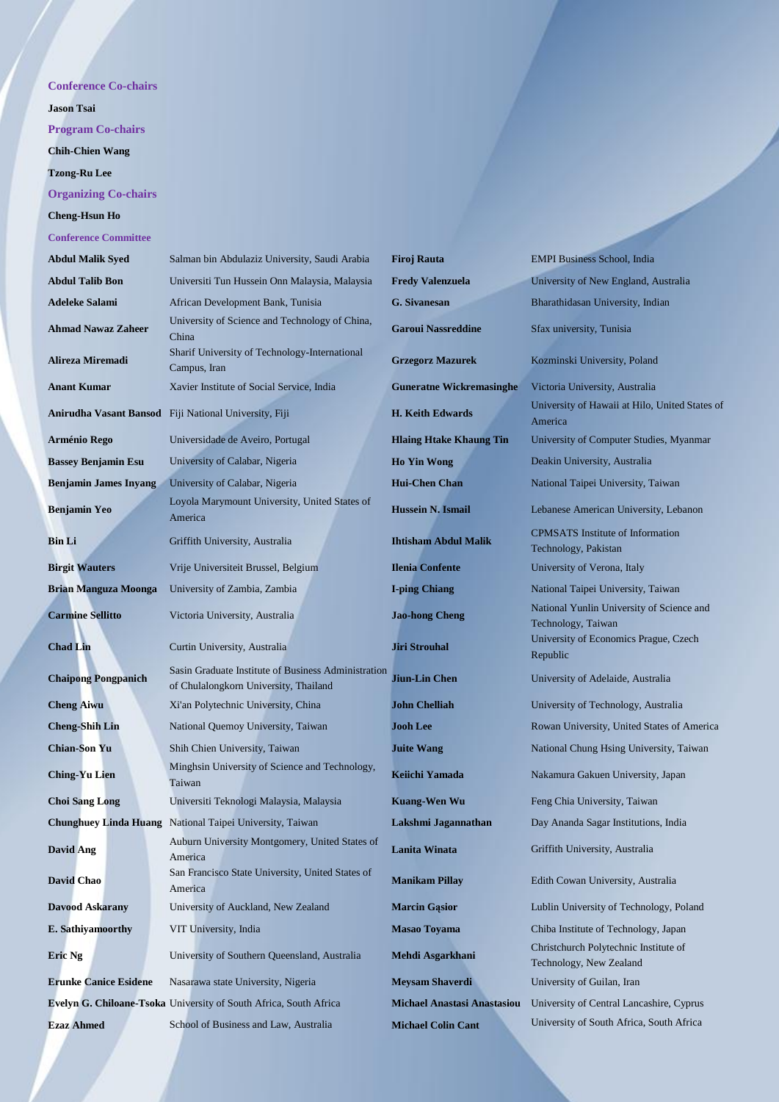## **Conference Co-chairs**

**Jason Tsai**

**Program Co-chairs**

**Chih-Chien Wang**

**Tzong-Ru Lee**

# **Organizing Co-chairs**

## **Cheng-Hsun Ho**

**Conference Committee**

| <b>Abdul Malik Syed</b>      | Salman bin Abdulaziz University, Saudi Arabia                                                | <b>Firoj Rauta</b>                 | <b>EMPI Business School, India</b>                               |
|------------------------------|----------------------------------------------------------------------------------------------|------------------------------------|------------------------------------------------------------------|
| <b>Abdul Talib Bon</b>       | Universiti Tun Hussein Onn Malaysia, Malaysia                                                | <b>Fredy Valenzuela</b>            | University of New England, Australia                             |
| <b>Adeleke Salami</b>        | African Development Bank, Tunisia                                                            | <b>G.</b> Sivanesan                | Bharathidasan University, Indian                                 |
| <b>Ahmad Nawaz Zaheer</b>    | University of Science and Technology of China,<br>China                                      | <b>Garoui Nassreddine</b>          | Sfax university, Tunisia                                         |
| Alireza Miremadi             | Sharif University of Technology-International<br>Campus, Iran                                | <b>Grzegorz Mazurek</b>            | Kozminski University, Poland                                     |
| <b>Anant Kumar</b>           | Xavier Institute of Social Service, India                                                    | <b>Guneratne Wickremasinghe</b>    | Victoria University, Australia                                   |
| Anirudha Vasant Bansod       | Fiji National University, Fiji                                                               | <b>H. Keith Edwards</b>            | University of Hawaii at Hilo, United States of<br>America        |
| Arménio Rego                 | Universidade de Aveiro, Portugal                                                             | <b>Hlaing Htake Khaung Tin</b>     | University of Computer Studies, Myanmar                          |
| <b>Bassey Benjamin Esu</b>   | University of Calabar, Nigeria                                                               | <b>Ho Yin Wong</b>                 | Deakin University, Australia                                     |
| <b>Benjamin James Inyang</b> | University of Calabar, Nigeria                                                               | <b>Hui-Chen Chan</b>               | National Taipei University, Taiwan                               |
| <b>Benjamin Yeo</b>          | Loyola Marymount University, United States of<br>America                                     | Hussein N. Ismail                  | Lebanese American University, Lebanon                            |
| <b>Bin Li</b>                | Griffith University, Australia                                                               | <b>Ihtisham Abdul Malik</b>        | <b>CPMSATS</b> Institute of Information<br>Technology, Pakistan  |
| <b>Birgit Wauters</b>        | Vrije Universiteit Brussel, Belgium                                                          | <b>Ilenia Confente</b>             | University of Verona, Italy                                      |
| <b>Brian Manguza Moonga</b>  | University of Zambia, Zambia                                                                 | <b>I-ping Chiang</b>               | National Taipei University, Taiwan                               |
| <b>Carmine Sellitto</b>      | Victoria University, Australia                                                               | <b>Jao-hong Cheng</b>              | National Yunlin University of Science and<br>Technology, Taiwan  |
| <b>Chad Lin</b>              | Curtin University, Australia                                                                 | <b>Jiri Strouhal</b>               | University of Economics Prague, Czech<br>Republic                |
| <b>Chaipong Pongpanich</b>   | Sasin Graduate Institute of Business Administration<br>of Chulalongkorn University, Thailand | Jiun-Lin Chen                      | University of Adelaide, Australia                                |
| <b>Cheng Aiwu</b>            | Xi'an Polytechnic University, China                                                          | <b>John Chelliah</b>               | University of Technology, Australia                              |
| <b>Cheng-Shih Lin</b>        | National Quemoy University, Taiwan                                                           | <b>Jooh Lee</b>                    | Rowan University, United States of America                       |
| <b>Chian-Son Yu</b>          | Shih Chien University, Taiwan                                                                | <b>Juite Wang</b>                  | National Chung Hsing University, Taiwan                          |
| <b>Ching-Yu Lien</b>         | Minghsin University of Science and Technology,<br>Taiwan                                     | <b>Keiichi Yamada</b>              | Nakamura Gakuen University, Japan                                |
| <b>Choi Sang Long</b>        | Universiti Teknologi Malaysia, Malaysia                                                      | <b>Kuang-Wen Wu</b>                | Feng Chia University, Taiwan                                     |
|                              | <b>Chunghuey Linda Huang</b> National Taipei University, Taiwan                              | Lakshmi Jagannathan                | Day Ananda Sagar Institutions, India                             |
| <b>David Ang</b>             | Auburn University Montgomery, United States of<br>America                                    | Lanita Winata                      | Griffith University, Australia                                   |
| David Chao                   | San Francisco State University, United States of<br>America                                  | <b>Manikam Pillay</b>              | Edith Cowan University, Australia                                |
| <b>Davood Askarany</b>       | University of Auckland, New Zealand                                                          | <b>Marcin Gasior</b>               | Lublin University of Technology, Poland                          |
| E. Sathiyamoorthy            | VIT University, India                                                                        | <b>Masao Toyama</b>                | Chiba Institute of Technology, Japan                             |
| Eric Ng                      | University of Southern Queensland, Australia                                                 | Mehdi Asgarkhani                   | Christchurch Polytechnic Institute of<br>Technology, New Zealand |
| <b>Erunke Canice Esidene</b> | Nasarawa state University, Nigeria                                                           | <b>Meysam Shaverdi</b>             | University of Guilan, Iran                                       |
|                              | Evelyn G. Chiloane-Tsoka University of South Africa, South Africa                            | <b>Michael Anastasi Anastasiou</b> | University of Central Lancashire, Cyprus                         |
| <b>Ezaz Ahmed</b>            | School of Business and Law, Australia                                                        | <b>Michael Colin Cant</b>          | University of South Africa, South Africa                         |